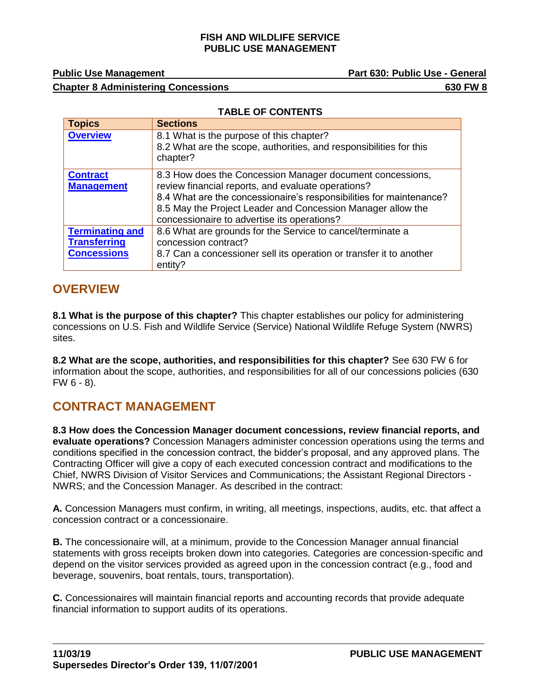#### **FISH AND WILDLIFE SERVICE PUBLIC USE MANAGEMENT**

**Public Use Management Community Community Community Part 630: Public Use - General** 

### **Chapter 8 Administering Concessions 630 FW 8**

|  | <b>TABLE OF CONTENTS</b> |
|--|--------------------------|
|  |                          |

| <b>Topics</b>                                                       | <b>Sections</b>                                                                                                                                                                                                                                                                                      |
|---------------------------------------------------------------------|------------------------------------------------------------------------------------------------------------------------------------------------------------------------------------------------------------------------------------------------------------------------------------------------------|
| <b>Overview</b>                                                     | 8.1 What is the purpose of this chapter?<br>8.2 What are the scope, authorities, and responsibilities for this<br>chapter?                                                                                                                                                                           |
| <b>Contract</b><br><b>Management</b>                                | 8.3 How does the Concession Manager document concessions,<br>review financial reports, and evaluate operations?<br>8.4 What are the concessionaire's responsibilities for maintenance?<br>8.5 May the Project Leader and Concession Manager allow the<br>concessionaire to advertise its operations? |
| <b>Terminating and</b><br><b>Transferring</b><br><b>Concessions</b> | 8.6 What are grounds for the Service to cancel/terminate a<br>concession contract?<br>8.7 Can a concessioner sell its operation or transfer it to another<br>entity?                                                                                                                                 |

## <span id="page-0-0"></span>**OVERVIEW**

**8.1 What is the purpose of this chapter?** This chapter establishes our policy for administering concessions on U.S. Fish and Wildlife Service (Service) National Wildlife Refuge System (NWRS) sites.

**8.2 What are the scope, authorities, and responsibilities for this chapter?** See 630 FW 6 for information about the scope, authorities, and responsibilities for all of our concessions policies (630  $FW 6 - 8$ ).

# <span id="page-0-1"></span>**CONTRACT MANAGEMENT**

**8.3 How does the Concession Manager document concessions, review financial reports, and evaluate operations?** Concession Managers administer concession operations using the terms and conditions specified in the concession contract, the bidder's proposal, and any approved plans. The Contracting Officer will give a copy of each executed concession contract and modifications to the Chief, NWRS Division of Visitor Services and Communications; the Assistant Regional Directors - NWRS; and the Concession Manager. As described in the contract:

**A.** Concession Managers must confirm, in writing, all meetings, inspections, audits, etc. that affect a concession contract or a concessionaire.

**B.** The concessionaire will, at a minimum, provide to the Concession Manager annual financial statements with gross receipts broken down into categories. Categories are concession-specific and depend on the visitor services provided as agreed upon in the concession contract (e.g., food and beverage, souvenirs, boat rentals, tours, transportation).

**C.** Concessionaires will maintain financial reports and accounting records that provide adequate financial information to support audits of its operations.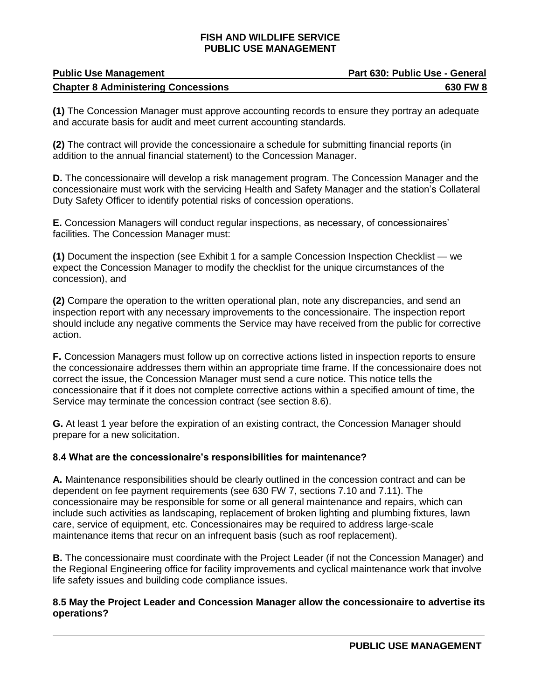#### **FISH AND WILDLIFE SERVICE PUBLIC USE MANAGEMENT**

| <b>Public Use Management</b>               | Part 630: Public Use - General |
|--------------------------------------------|--------------------------------|
| <b>Chapter 8 Administering Concessions</b> | 630 FW 8                       |

**(1)** The Concession Manager must approve accounting records to ensure they portray an adequate and accurate basis for audit and meet current accounting standards.

**(2)** The contract will provide the concessionaire a schedule for submitting financial reports (in addition to the annual financial statement) to the Concession Manager.

**D.** The concessionaire will develop a risk management program. The Concession Manager and the concessionaire must work with the servicing Health and Safety Manager and the station's Collateral Duty Safety Officer to identify potential risks of concession operations.

**E.** Concession Managers will conduct regular inspections, as necessary, of concessionaires' facilities. The Concession Manager must:

**(1)** Document the inspection (see Exhibit 1 for a sample Concession Inspection Checklist — we expect the Concession Manager to modify the checklist for the unique circumstances of the concession), and

**(2)** Compare the operation to the written operational plan, note any discrepancies, and send an inspection report with any necessary improvements to the concessionaire. The inspection report should include any negative comments the Service may have received from the public for corrective action.

**F.** Concession Managers must follow up on corrective actions listed in inspection reports to ensure the concessionaire addresses them within an appropriate time frame. If the concessionaire does not correct the issue, the Concession Manager must send a cure notice. This notice tells the concessionaire that if it does not complete corrective actions within a specified amount of time, the Service may terminate the concession contract (see section 8.6).

**G.** At least 1 year before the expiration of an existing contract, the Concession Manager should prepare for a new solicitation.

#### **8.4 What are the concessionaire's responsibilities for maintenance?**

**A.** Maintenance responsibilities should be clearly outlined in the concession contract and can be dependent on fee payment requirements (see 630 FW 7, sections 7.10 and 7.11). The concessionaire may be responsible for some or all general maintenance and repairs, which can include such activities as landscaping, replacement of broken lighting and plumbing fixtures, lawn care, service of equipment, etc. Concessionaires may be required to address large-scale maintenance items that recur on an infrequent basis (such as roof replacement).

**B.** The concessionaire must coordinate with the Project Leader (if not the Concession Manager) and the Regional Engineering office for facility improvements and cyclical maintenance work that involve life safety issues and building code compliance issues.

#### **8.5 May the Project Leader and Concession Manager allow the concessionaire to advertise its operations?**